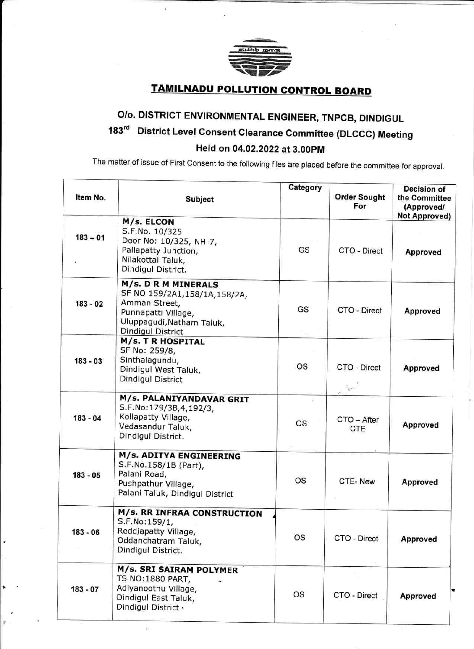

la de la construction de la construction de la construction de la construction de la construction de la constr<br>La construction de la construction de la construction de la construction de la construction de la construction

## **TAMILNADU POLLUTION CONTROL BOARD**

## O/o. DISTRICT ENVIRONMENTAL ENGINEER, TNPCB, DINDIGUL 183<sup>rd</sup> District Level Consent Clearance Committee (DLCCC) Meeting Held on 04.02.2022 at 3.00pM

The matter of issue of First Consent to the following files are placed before the committee for approval.

| Item No.   | Subject                                                                                                                                              | Category       | <b>Order Sought</b><br>For | Decision of<br>the Committee<br>(Approved/<br><b>Not Approved)</b> |
|------------|------------------------------------------------------------------------------------------------------------------------------------------------------|----------------|----------------------------|--------------------------------------------------------------------|
| $183 - 01$ | M/s. ELCON<br>S.F.No. 10/325<br>Door No: 10/325, NH-7,<br>Pallapatty Junction,<br>Nilakottai Taluk,<br>Dindigul District.                            | GS             | CTO - Direct               | <b>Approved</b>                                                    |
| $183 - 02$ | M/s. D R M MINERALS<br>SF NO 159/2A1,158/1A,158/2A,<br>Amman Street,<br>Punnapatti Village,<br>Uluppagudi, Natham Taluk,<br><b>Dindigul District</b> | GS             | CTO - Direct               | Approved                                                           |
| $183 - 03$ | <b>M/s. T R HOSPITAL</b><br>SF No: 259/8,<br>Sinthalagundu,<br>Dindigul West Taluk,<br>Dindigul District                                             | <b>OS</b>      | CTO - Direct<br>المناوة    | <b>Approved</b>                                                    |
| $183 - 04$ | M/s. PALANIYANDAVAR GRIT<br>S.F.No:179/3B,4,192/3,<br>Kollapatty Village,<br>Vedasandur Taluk,<br>Dindigul District.                                 | Đ<br><b>OS</b> | CTO - After<br><b>CTE</b>  | <b>Approved</b>                                                    |
| $183 - 05$ | <b>M/s. ADITYA ENGINEERING</b><br>S.F.No.158/1B (Part),<br>Palani Road,<br>Pushpathur Village,<br>Palani Taluk, Dindigul District                    | <b>OS</b>      | CTE-New                    | <b>Approved</b>                                                    |
| 183 - 06   | M/s. RR INFRAA CONSTRUCTION<br>S.F.No:159/1,<br>Reddjapatty Village,<br>Oddanchatram Taluk,<br>Dindigul District.                                    | OS             | CTO - Direct               | <b>Approved</b>                                                    |
| 183 - 07   | <b>M/s. SRI SAIRAM POLYMER</b><br><b>TS NO:1880 PART,</b><br>Adiyanoothu Village,<br>Dindigul East Taluk,<br>Dindigul District .                     | <b>OS</b>      | CTO - Direct               | Approved                                                           |